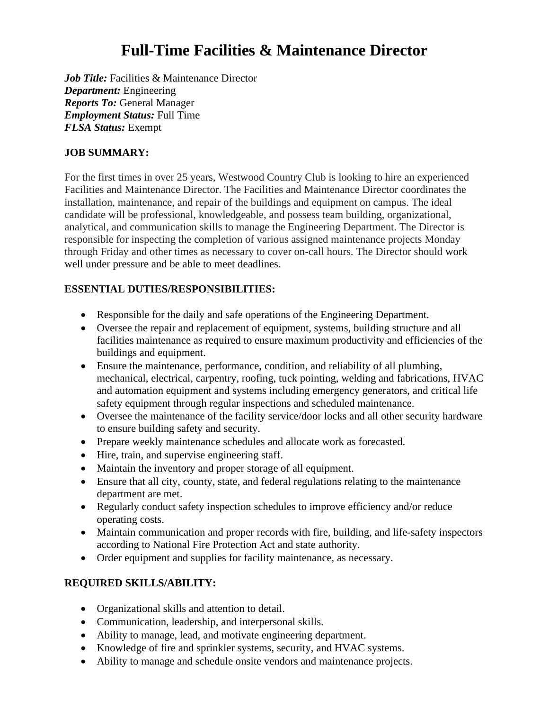# **Full-Time Facilities & Maintenance Director**

*Job Title:* Facilities & Maintenance Director *Department:* Engineering *Reports To:* General Manager *Employment Status:* Full Time *FLSA Status:* Exempt

#### **JOB SUMMARY:**

For the first times in over 25 years, Westwood Country Club is looking to hire an experienced Facilities and Maintenance Director. The Facilities and Maintenance Director coordinates the installation, maintenance, and repair of the buildings and equipment on campus. The ideal candidate will be professional, knowledgeable, and possess team building, organizational, analytical, and communication skills to manage the Engineering Department. The Director is responsible for inspecting the completion of various assigned maintenance projects Monday through Friday and other times as necessary to cover on-call hours. The Director should work well under pressure and be able to meet deadlines.

#### **ESSENTIAL DUTIES/RESPONSIBILITIES:**

- Responsible for the daily and safe operations of the Engineering Department.
- Oversee the repair and replacement of equipment, systems, building structure and all facilities maintenance as required to ensure maximum productivity and efficiencies of the buildings and equipment.
- Ensure the maintenance, performance, condition, and reliability of all plumbing, mechanical, electrical, carpentry, roofing, tuck pointing, welding and fabrications, HVAC and automation equipment and systems including emergency generators, and critical life safety equipment through regular inspections and scheduled maintenance.
- Oversee the maintenance of the facility service/door locks and all other security hardware to ensure building safety and security.
- Prepare weekly maintenance schedules and allocate work as forecasted.
- Hire, train, and supervise engineering staff.
- Maintain the inventory and proper storage of all equipment.
- Ensure that all city, county, state, and federal regulations relating to the maintenance department are met.
- Regularly conduct safety inspection schedules to improve efficiency and/or reduce operating costs.
- Maintain communication and proper records with fire, building, and life-safety inspectors according to National Fire Protection Act and state authority.
- Order equipment and supplies for facility maintenance, as necessary.

#### **REQUIRED SKILLS/ABILITY:**

- Organizational skills and attention to detail.
- Communication, leadership, and interpersonal skills.
- Ability to manage, lead, and motivate engineering department.
- Knowledge of fire and sprinkler systems, security, and HVAC systems.
- Ability to manage and schedule onsite vendors and maintenance projects.